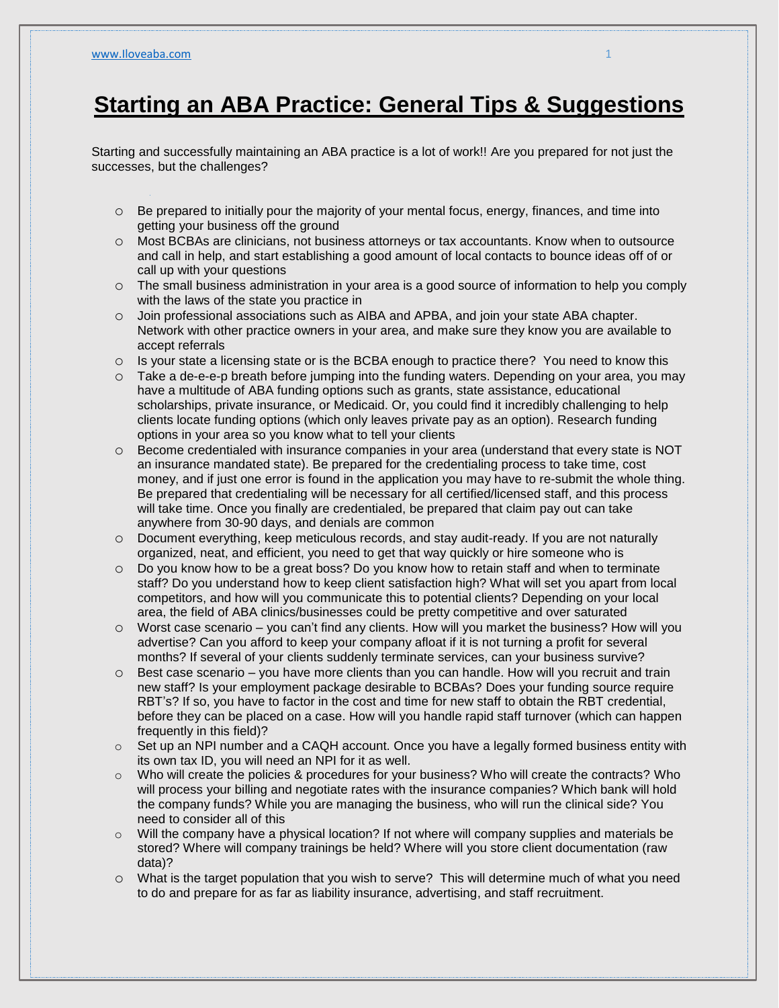## **Starting an ABA Practice: General Tips & Suggestions**

Starting and successfully maintaining an ABA practice is a lot of work!! Are you prepared for not just the successes, but the challenges?

- $\circ$  Be prepared to initially pour the majority of your mental focus, energy, finances, and time into getting your business off the ground
- o Most BCBAs are clinicians, not business attorneys or tax accountants. Know when to outsource and call in help, and start establishing a good amount of local contacts to bounce ideas off of or call up with your questions
- o The small business administration in your area is a good source of information to help you comply with the laws of the state you practice in
- o Join professional associations such as AIBA and APBA, and join your state ABA chapter. Network with other practice owners in your area, and make sure they know you are available to accept referrals
- o Is your state a licensing state or is the BCBA enough to practice there? You need to know this
- $\circ$  Take a de-e-e-p breath before jumping into the funding waters. Depending on your area, you may have a multitude of ABA funding options such as grants, state assistance, educational scholarships, private insurance, or Medicaid. Or, you could find it incredibly challenging to help clients locate funding options (which only leaves private pay as an option). Research funding options in your area so you know what to tell your clients
- $\circ$  Become credentialed with insurance companies in your area (understand that every state is NOT an insurance mandated state). Be prepared for the credentialing process to take time, cost money, and if just one error is found in the application you may have to re-submit the whole thing. Be prepared that credentialing will be necessary for all certified/licensed staff, and this process will take time. Once you finally are credentialed, be prepared that claim pay out can take anywhere from 30-90 days, and denials are common
- o Document everything, keep meticulous records, and stay audit-ready. If you are not naturally organized, neat, and efficient, you need to get that way quickly or hire someone who is
- o Do you know how to be a great boss? Do you know how to retain staff and when to terminate staff? Do you understand how to keep client satisfaction high? What will set you apart from local competitors, and how will you communicate this to potential clients? Depending on your local area, the field of ABA clinics/businesses could be pretty competitive and over saturated
- $\circ$  Worst case scenario you can't find any clients. How will you market the business? How will you advertise? Can you afford to keep your company afloat if it is not turning a profit for several months? If several of your clients suddenly terminate services, can your business survive?
- o Best case scenario you have more clients than you can handle. How will you recruit and train new staff? Is your employment package desirable to BCBAs? Does your funding source require RBT's? If so, you have to factor in the cost and time for new staff to obtain the RBT credential, before they can be placed on a case. How will you handle rapid staff turnover (which can happen frequently in this field)?
- $\circ$  Set up an NPI number and a CAQH account. Once you have a legally formed business entity with its own tax ID, you will need an NPI for it as well.
- $\circ$  Who will create the policies & procedures for your business? Who will create the contracts? Who will process your billing and negotiate rates with the insurance companies? Which bank will hold the company funds? While you are managing the business, who will run the clinical side? You need to consider all of this
- $\circ$  Will the company have a physical location? If not where will company supplies and materials be stored? Where will company trainings be held? Where will you store client documentation (raw data)?
- o What is the target population that you wish to serve? This will determine much of what you need to do and prepare for as far as liability insurance, advertising, and staff recruitment.